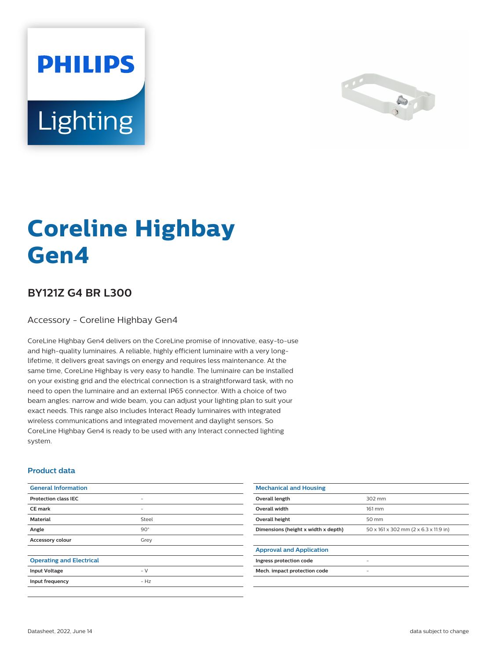



# **Coreline Highbay Gen4**

## **BY121Z G4 BR L300**

Accessory - Coreline Highbay Gen4

CoreLine Highbay Gen4 delivers on the CoreLine promise of innovative, easy-to-use and high-quality luminaires. A reliable, highly efficient luminaire with a very longlifetime, it delivers great savings on energy and requires less maintenance. At the same time, CoreLine Highbay is very easy to handle. The luminaire can be installed on your existing grid and the electrical connection is a straightforward task, with no need to open the luminaire and an external IP65 connector. With a choice of two beam angles: narrow and wide beam, you can adjust your lighting plan to suit your exact needs. This range also includes Interact Ready luminaires with integrated wireless communications and integrated movement and daylight sensors. So CoreLine Highbay Gen4 is ready to be used with any Interact connected lighting system.

#### **Product data**

| <b>General Information</b>      |                          | <b>Mechanical and Housing</b>       |                                       |
|---------------------------------|--------------------------|-------------------------------------|---------------------------------------|
| <b>Protection class IEC</b>     | $\overline{\phantom{0}}$ | Overall length                      | 302 mm                                |
| <b>CE mark</b>                  | $\overline{\phantom{0}}$ | Overall width                       | 161 mm                                |
| <b>Material</b>                 | Steel                    | Overall height                      | 50 mm                                 |
| Angle                           | $90^\circ$               | Dimensions (height x width x depth) | 50 x 161 x 302 mm (2 x 6.3 x 11.9 in) |
| Accessory colour                | Grey                     |                                     |                                       |
|                                 |                          | <b>Approval and Application</b>     |                                       |
| <b>Operating and Electrical</b> |                          | Ingress protection code             |                                       |
| <b>Input Voltage</b>            | $-V$                     | Mech. impact protection code        | ٠                                     |
| Input frequency                 | $- Hz$                   |                                     |                                       |
|                                 |                          |                                     |                                       |